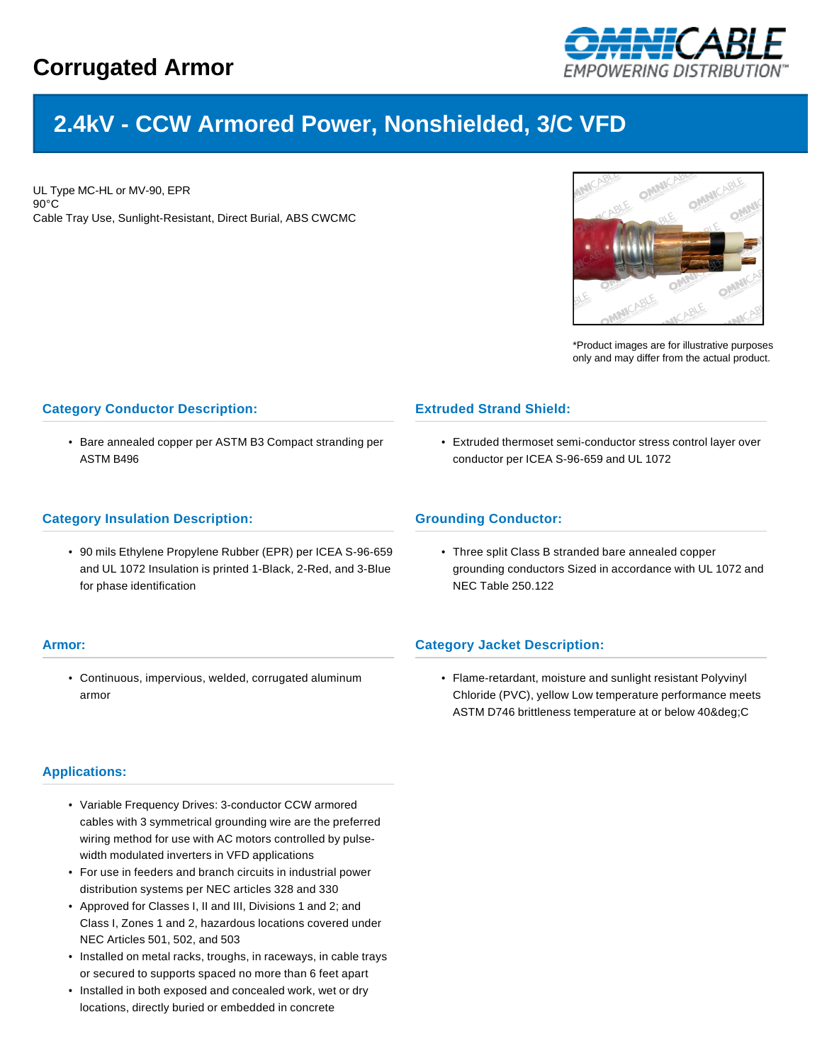

# **2.4kV - CCW Armored Power, Nonshielded, 3/C VFD**

UL Type MC-HL or MV-90, EPR 90°C Cable Tray Use, Sunlight-Resistant, Direct Burial, ABS CWCMC



\*Product images are for illustrative purposes only and may differ from the actual product.

## **Category Conductor Description:**

• Bare annealed copper per ASTM B3 Compact stranding per ASTM B496

#### **Category Insulation Description:**

• 90 mils Ethylene Propylene Rubber (EPR) per ICEA S-96-659 and UL 1072 Insulation is printed 1-Black, 2-Red, and 3-Blue for phase identification

#### **Armor:**

• Continuous, impervious, welded, corrugated aluminum armor

# **Applications:**

- Variable Frequency Drives: 3-conductor CCW armored cables with 3 symmetrical grounding wire are the preferred wiring method for use with AC motors controlled by pulsewidth modulated inverters in VFD applications
- For use in feeders and branch circuits in industrial power distribution systems per NEC articles 328 and 330
- Approved for Classes I, II and III, Divisions 1 and 2; and Class I, Zones 1 and 2, hazardous locations covered under NEC Articles 501, 502, and 503
- Installed on metal racks, troughs, in raceways, in cable trays or secured to supports spaced no more than 6 feet apart
- Installed in both exposed and concealed work, wet or dry locations, directly buried or embedded in concrete

# **Extruded Strand Shield:**

• Extruded thermoset semi-conductor stress control layer over conductor per ICEA S-96-659 and UL 1072

### **Grounding Conductor:**

• Three split Class B stranded bare annealed copper grounding conductors Sized in accordance with UL 1072 and NEC Table 250.122

### **Category Jacket Description:**

• Flame-retardant, moisture and sunlight resistant Polyvinyl Chloride (PVC), yellow Low temperature performance meets ASTM D746 brittleness temperature at or below 40&deq;C